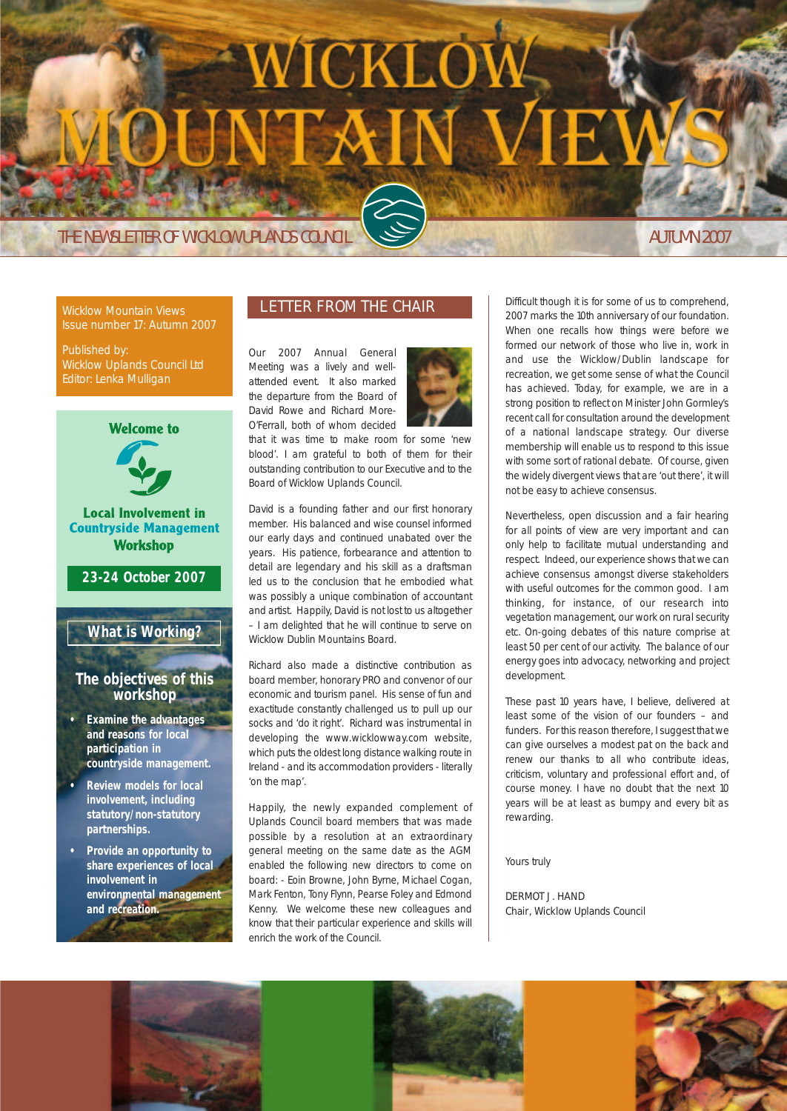# VICKLO

THE NEWSLETTER OF WICKLOW UPLANDS COUNCIL AND SERVICE OF MUTUMN 2007

Wicklow Mountain Views Issue number 17: Autumn 2007

Published by: Wicklow Uplands Council Ltd Editor: Lenka Mulligan



# LETTER FROM THE CHAIR

Our 2007 Annual General Meeting was a lively and wellattended event. It also marked the departure from the Board of David Rowe and Richard More-O'Ferrall, both of whom decided



that it was time to make room for some 'new blood'. I am grateful to both of them for their outstanding contribution to our Executive and to the Board of Wicklow Uplands Council.

David is a founding father and our first honorary member. His balanced and wise counsel informed our early days and continued unabated over the years. His patience, forbearance and attention to detail are legendary and his skill as a draftsman led us to the conclusion that he embodied what was possibly a unique combination of accountant and artist. Happily, David is not lost to us altogether – I am delighted that he will continue to serve on Wicklow Dublin Mountains Board.

Richard also made a distinctive contribution as board member, honorary PRO and convenor of our economic and tourism panel. His sense of fun and exactitude constantly challenged us to pull up our socks and 'do it right'. Richard was instrumental in developing the www.wicklowway.com website, which puts the oldest long distance walking route in Ireland - and its accommodation providers - literally 'on the map'.

Happily, the newly expanded complement of Uplands Council board members that was made possible by a resolution at an extraordinary general meeting on the same date as the AGM enabled the following new directors to come on board: - Eoin Browne, John Byrne, Michael Cogan, Mark Fenton, Tony Flynn, Pearse Foley and Edmond Kenny. We welcome these new colleagues and know that their particular experience and skills will enrich the work of the Council.

Difficult though it is for some of us to comprehend, 2007 marks the 10th anniversary of our foundation. When one recalls how things were before we formed our network of those who live in, work in and use the Wicklow/Dublin landscape for recreation, we get some sense of what the Council has achieved. Today, for example, we are in a strong position to reflect on Minister John Gormley's recent call for consultation around the development of a national landscape strategy. Our diverse membership will enable us to respond to this issue with some sort of rational debate. Of course, given the widely divergent views that are 'out there', it will not be easy to achieve consensus.

Nevertheless, open discussion and a fair hearing for all points of view are very important and can only help to facilitate mutual understanding and respect. Indeed, our experience shows that we can achieve consensus amongst diverse stakeholders with useful outcomes for the common good. I am thinking, for instance, of our research into vegetation management, our work on rural security etc. On-going debates of this nature comprise at least 50 per cent of our activity. The balance of our energy goes into advocacy, networking and project development.

These past 10 years have, I believe, delivered at least some of the vision of our founders – and funders. For this reason therefore, I suggest that we can give ourselves a modest pat on the back and renew our thanks to all who contribute ideas, criticism, voluntary and professional effort and, of course money. I have no doubt that the next 10 years will be at least as bumpy and every bit as rewarding.

Yours truly

DERMOT J. HAND Chair, Wicklow Uplands Council

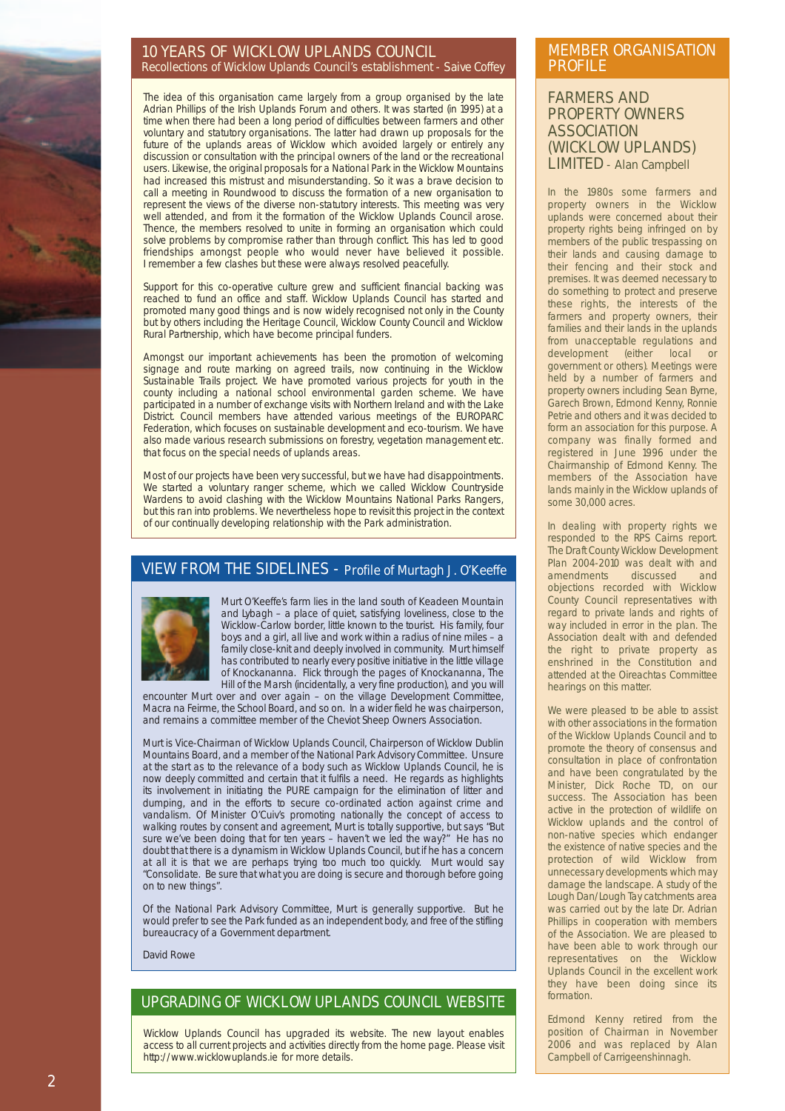#### 10 YEARS OF WICKLOW UPLANDS COUNCIL Recollections of Wicklow Uplands Council's establishment - Saive Coffey

The idea of this organisation came largely from a group organised by the late Adrian Phillips of the Irish Uplands Forum and others. It was started (in 1995) at a time when there had been a long period of difficulties between farmers and other voluntary and statutory organisations. The latter had drawn up proposals for the future of the uplands areas of Wicklow which avoided largely or entirely any discussion or consultation with the principal owners of the land or the recreational users. Likewise, the original proposals for a National Park in the Wicklow Mountains had increased this mistrust and misunderstanding. So it was a brave decision to call a meeting in Roundwood to discuss the formation of a new organisation to represent the views of the diverse non-statutory interests. This meeting was very well attended, and from it the formation of the Wicklow Uplands Council arose. Thence, the members resolved to unite in forming an organisation which could solve problems by compromise rather than through conflict. This has led to good friendships amongst people who would never have believed it possible. I remember a few clashes but these were always resolved peacefully.

Support for this co-operative culture grew and sufficient financial backing was reached to fund an office and staff. Wicklow Uplands Council has started and promoted many good things and is now widely recognised not only in the County but by others including the Heritage Council, Wicklow County Council and Wicklow Rural Partnership, which have become principal funders.

Amongst our important achievements has been the promotion of welcoming signage and route marking on agreed trails, now continuing in the Wicklow Sustainable Trails project. We have promoted various projects for youth in the county including a national school environmental garden scheme. We have participated in a number of exchange visits with Northern Ireland and with the Lake District. Council members have attended various meetings of the EUROPARC Federation, which focuses on sustainable development and eco-tourism. We have also made various research submissions on forestry, vegetation management etc. that focus on the special needs of uplands areas.

Most of our projects have been very successful, but we have had disappointments. We started a voluntary ranger scheme, which we called Wicklow Countryside Wardens to avoid clashing with the Wicklow Mountains National Parks Rangers, but this ran into problems. We nevertheless hope to revisit this project in the context of our continually developing relationship with the Park administration.

## VIEW FROM THE SIDELINES - Profile of Murtagh J. O'Keeffe



Murt O'Keeffe's farm lies in the land south of Keadeen Mountain and Lybagh – a place of quiet, satisfying loveliness, close to the Wicklow-Carlow border, little known to the tourist. His family, four boys and a girl, all live and work within a radius of nine miles – a family close-knit and deeply involved in community. Murt himself has contributed to nearly every positive initiative in the little village of Knockananna. Flick through the pages of Knockananna, The Hill of the Marsh (incidentally, a very fine production), and you will

encounter Murt over and over again – on the village Development Committee, Macra na Feirme, the School Board, and so on. In a wider field he was chairperson, and remains a committee member of the Cheviot Sheep Owners Association.

Murt is Vice-Chairman of Wicklow Uplands Council, Chairperson of Wicklow Dublin Mountains Board, and a member of the National Park Advisory Committee. Unsure at the start as to the relevance of a body such as Wicklow Uplands Council, he is now deeply committed and certain that it fulfils a need. He regards as highlights its involvement in initiating the PURE campaign for the elimination of litter and dumping, and in the efforts to secure co-ordinated action against crime and vandalism. Of Minister O'Cuiv's promoting nationally the concept of access to walking routes by consent and agreement, Murt is totally supportive, but says "But sure we've been doing that for ten years – haven't we led the way?" He has no doubt that there is a dynamism in Wicklow Uplands Council, but if he has a concern at all it is that we are perhaps trying too much too quickly. Murt would say "Consolidate. Be sure that what you are doing is secure and thorough before going on to new things".

Of the National Park Advisory Committee, Murt is generally supportive. But he would prefer to see the Park funded as an independent body, and free of the stifling bureaucracy of a Government department.

David Rowe

# UPGRADING OF WICKLOW UPLANDS COUNCIL WEBSITE

Wicklow Uplands Council has upgraded its website. The new layout enables access to all current projects and activities directly from the home page. Please visit http://www.wicklowuplands.ie for more details.

#### MEMBER ORGANISATION PROFILE

#### FARMERS AND PROPERTY OWNERS **ASSOCIATION** (WICKLOW UPLANDS) LIMITED - Alan Campbell

In the 1980s some farmers and property owners in the Wicklow uplands were concerned about their property rights being infringed on by members of the public trespassing on their lands and causing damage to their fencing and their stock and premises. It was deemed necessary to do something to protect and preserve these rights, the interests of the farmers and property owners, their families and their lands in the uplands from unacceptable regulations and development (either local or government or others). Meetings were held by a number of farmers and property owners including Sean Byrne, Garech Brown, Edmond Kenny, Ronnie Petrie and others and it was decided to form an association for this purpose. A company was finally formed and registered in June 1996 under the Chairmanship of Edmond Kenny. The members of the Association have lands mainly in the Wicklow uplands of some 30,000 acres.

In dealing with property rights we responded to the RPS Cairns report. The Draft County Wicklow Development Plan 2004-2010 was dealt with and amendments discussed and objections recorded with Wicklow County Council representatives with regard to private lands and rights of way included in error in the plan. The Association dealt with and defended the right to private property as enshrined in the Constitution and attended at the Oireachtas Committee hearings on this matter.

We were pleased to be able to assist with other associations in the formation of the Wicklow Uplands Council and to promote the theory of consensus and consultation in place of confrontation and have been congratulated by the Minister, Dick Roche TD, on our success. The Association has been active in the protection of wildlife on Wicklow uplands and the control of non-native species which endanger the existence of native species and the protection of wild Wicklow from unnecessary developments which may damage the landscape. A study of the Lough Dan/Lough Tay catchments area was carried out by the late Dr. Adrian Phillips in cooperation with members of the Association. We are pleased to have been able to work through our representatives on the Wicklow Uplands Council in the excellent work they have been doing since its formation.

Edmond Kenny retired from the position of Chairman in November 2006 and was replaced by Alan Campbell of Carrigeenshinnagh.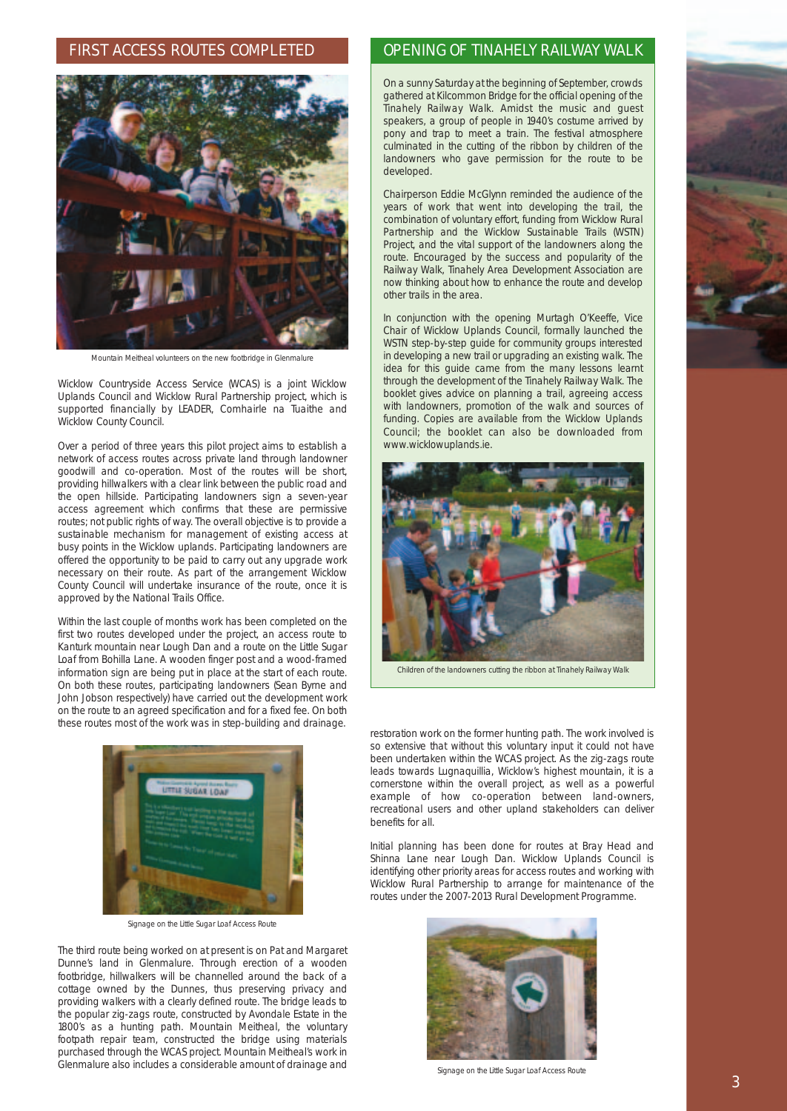#### FIRST ACCESS ROUTES COMPLETED



Mountain Meitheal volunteers on the new footbridge in Glenmalure

Wicklow Countryside Access Service (WCAS) is a joint Wicklow Uplands Council and Wicklow Rural Partnership project, which is supported financially by LEADER, Comhairle na Tuaithe and Wicklow County Council.

Over a period of three years this pilot project aims to establish a network of access routes across private land through landowner goodwill and co-operation. Most of the routes will be short, providing hillwalkers with a clear link between the public road and the open hillside. Participating landowners sign a seven-year access agreement which confirms that these are permissive routes; not public rights of way. The overall objective is to provide a sustainable mechanism for management of existing access at busy points in the Wicklow uplands. Participating landowners are offered the opportunity to be paid to carry out any upgrade work necessary on their route. As part of the arrangement Wicklow County Council will undertake insurance of the route, once it is approved by the National Trails Office.

Within the last couple of months work has been completed on the first two routes developed under the project, an access route to Kanturk mountain near Lough Dan and a route on the Little Sugar Loaf from Bohilla Lane. A wooden finger post and a wood-framed information sign are being put in place at the start of each route. On both these routes, participating landowners (Sean Byrne and John Jobson respectively) have carried out the development work on the route to an agreed specification and for a fixed fee. On both these routes most of the work was in step-building and drainage.



Signage on the Little Sugar Loaf Access Route

The third route being worked on at present is on Pat and Margaret Dunne's land in Glenmalure. Through erection of a wooden footbridge, hillwalkers will be channelled around the back of a cottage owned by the Dunnes, thus preserving privacy and providing walkers with a clearly defined route. The bridge leads to the popular zig-zags route, constructed by Avondale Estate in the 1800's as a hunting path. Mountain Meitheal, the voluntary footpath repair team, constructed the bridge using materials purchased through the WCAS project. Mountain Meitheal's work in Glenmalure also includes a considerable amount of drainage and

# OPENING OF TINAHELY RAILWAY WALK

On a sunny Saturday at the beginning of September, crowds gathered at Kilcommon Bridge for the official opening of the Tinahely Railway Walk. Amidst the music and guest speakers, a group of people in 1940's costume arrived by pony and trap to meet a train. The festival atmosphere culminated in the cutting of the ribbon by children of the landowners who gave permission for the route to be developed.

Chairperson Eddie McGlynn reminded the audience of the years of work that went into developing the trail, the combination of voluntary effort, funding from Wicklow Rural Partnership and the Wicklow Sustainable Trails (WSTN) Project, and the vital support of the landowners along the route. Encouraged by the success and popularity of the Railway Walk, Tinahely Area Development Association are now thinking about how to enhance the route and develop other trails in the area.

In conjunction with the opening Murtagh O'Keeffe, Vice Chair of Wicklow Uplands Council, formally launched the WSTN step-by-step guide for community groups interested in developing a new trail or upgrading an existing walk. The idea for this guide came from the many lessons learnt through the development of the Tinahely Railway Walk. The booklet gives advice on planning a trail, agreeing access with landowners, promotion of the walk and sources of funding. Copies are available from the Wicklow Uplands Council; the booklet can also be downloaded from www.wicklowuplands.ie.



Children of the landowners cutting the ribbon at Tinahely Railway Walk

restoration work on the former hunting path. The work involved is so extensive that without this voluntary input it could not have been undertaken within the WCAS project. As the zig-zags route leads towards Lugnaquillia, Wicklow's highest mountain, it is a cornerstone within the overall project, as well as a powerful example of how co-operation between land-owners, recreational users and other upland stakeholders can deliver benefits for all.

Initial planning has been done for routes at Bray Head and Shinna Lane near Lough Dan. Wicklow Uplands Council is identifying other priority areas for access routes and working with Wicklow Rural Partnership to arrange for maintenance of the routes under the 2007-2013 Rural Development Programme.



Signage on the Little Sugar Loaf Access Route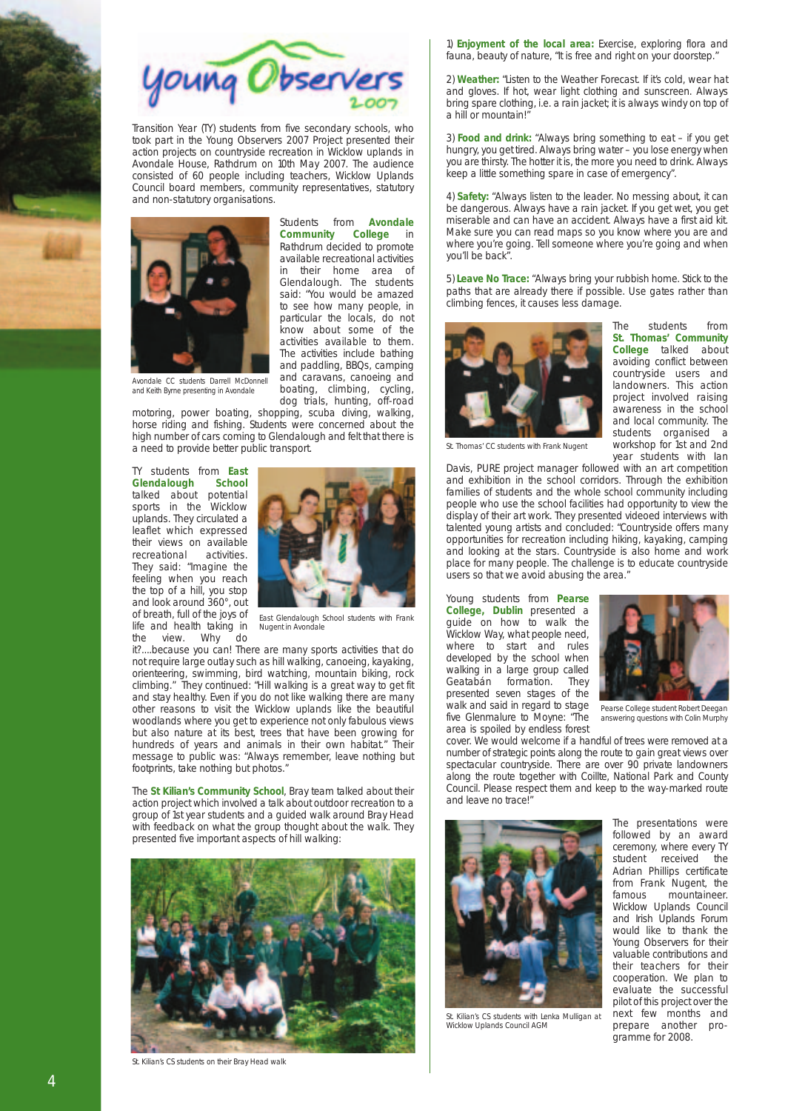

Transition Year (TY) students from five secondary schools, who took part in the Young Observers 2007 Project presented their action projects on countryside recreation in Wicklow uplands in Avondale House, Rathdrum on 10th May 2007. The audience consisted of 60 people including teachers, Wicklow Uplands Council board members, community representatives, statutory and non-statutory organisations.



and Keith Byrne presenting in Avondale

Students from **Avondale Community College** in Rathdrum decided to promote available recreational activities in their home area of Glendalough. The students said: "You would be amazed to see how many people, in particular the locals, do not know about some of the activities available to them. The activities include bathing and paddling, BBQs, camping and caravans, canoeing and boating, climbing, cycling, dog trials, hunting, off-road

motoring, power boating, shopping, scuba diving, walking, horse riding and fishing. Students were concerned about the high number of cars coming to Glendalough and felt that there is a need to provide better public transport.

TY students from **East Glendalough School** talked about sports in the Wicklow uplands. They circulated a leaflet which expressed their views on available<br>recreational activities. recreational They said: "Imagine the feeling when you reach the top of a hill, you stop and look around 360°, out of breath, full of the joys of life and health taking in the view. Why do



East Glendalough School students with Frank Nugent in Avondale

it?....because you can! There are many sports activities that do not require large outlay such as hill walking, canoeing, kayaking, orienteering, swimming, bird watching, mountain biking, rock climbing." They continued: "Hill walking is a great way to get fit and stay healthy. Even if you do not like walking there are many other reasons to visit the Wicklow uplands like the beautiful woodlands where you get to experience not only fabulous views but also nature at its best, trees that have been growing for hundreds of years and animals in their own habitat." Their message to public was: "Always remember, leave nothing but footprints, take nothing but photos."

The **St Kilian's Community School**, Bray team talked about their action project which involved a talk about outdoor recreation to a group of 1st year students and a guided walk around Bray Head with feedback on what the group thought about the walk. They presented five important aspects of hill walking:



St. Kilian's CS students on their Bray Head walk

1) **Enjoyment of the local area:** Exercise, exploring flora and fauna, beauty of nature, "It is free and right on your doorstep."

2) **Weather:** "Listen to the Weather Forecast. If it's cold, wear hat and gloves. If hot, wear light clothing and sunscreen. Always bring spare clothing, i.e. a rain jacket; it is always windy on top of a hill or mountain!"

3) **Food and drink:** "Always bring something to eat – if you get hungry, you get tired. Always bring water – you lose energy when you are thirsty. The hotter it is, the more you need to drink. Always keep a little something spare in case of emergency".

4) **Safety:** "Always listen to the leader. No messing about, it can be dangerous. Always have a rain jacket. If you get wet, you get miserable and can have an accident. Always have a first aid kit. Make sure you can read maps so you know where you are and where you're going. Tell someone where you're going and when you'll be back".

5) **Leave No Trace:** "Always bring your rubbish home. Stick to the paths that are already there if possible. Use gates rather than climbing fences, it causes less damage.



The students from **St. Thomas' Community College** talked about avoiding conflict between countryside users and landowners. This action project involved raising awareness in the school and local community. The students organised a workshop for 1st and 2nd year students with Ian

St. Thomas' CC students with Frank Nugent

Davis, PURE project manager followed with an art competition and exhibition in the school corridors. Through the exhibition families of students and the whole school community including people who use the school facilities had opportunity to view the display of their art work. They presented videoed interviews with talented young artists and concluded: "Countryside offers many opportunities for recreation including hiking, kayaking, camping and looking at the stars. Countryside is also home and work place for many people. The challenge is to educate countryside users so that we avoid abusing the area."

Young students from **Pearse College, Dublin** presented a guide on how to walk the Wicklow Way, what people need, where to start and rules developed by the school when walking in a large group called<br>Geatabán formation. They Geatabán formation. presented seven stages of the walk and said in regard to stage five Glenmalure to Moyne: "The area is spoiled by endless forest



Pearse College student Robert Deegan answering questions with Colin Murphy

cover. We would welcome if a handful of trees were removed at a number of strategic points along the route to gain great views over spectacular countryside. There are over 90 private landowners along the route together with Coillte, National Park and County Council. Please respect them and keep to the way-marked route and leave no trace!



St. Kilian's CS students with Lenka Mulligan at Wicklow Uplands Council AGM

The presentations were followed by an award ceremony, where every TY<br>student received the received Adrian Phillips certificate from Frank Nugent, the famous mountaineer. Wicklow Uplands Council and Irish Uplands Forum would like to thank the Young Observers for their valuable contributions and their teachers for their cooperation. We plan to evaluate the successful pilot of this project over the next few months and prepare another programme for 2008.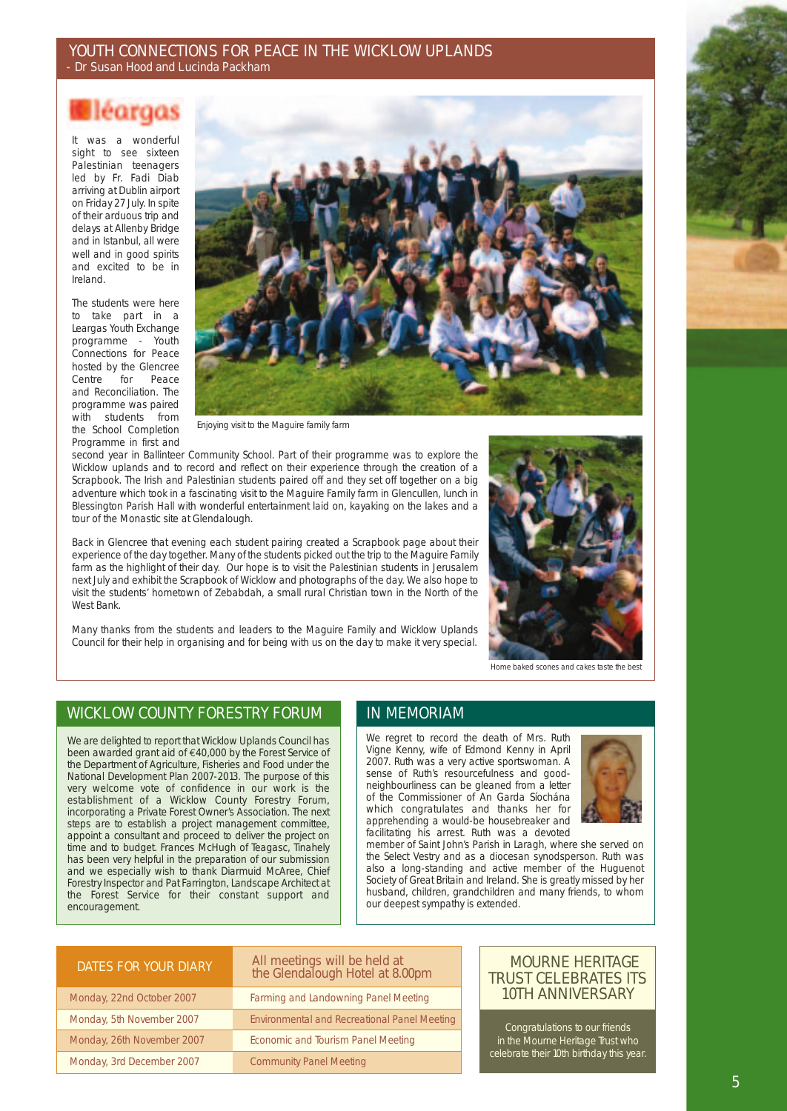#### YOUTH CONNECTIONS FOR PEACE IN THE WICKLOW UPLANDS - Dr Susan Hood and Lucinda Packham

# léargas

It was a wonderful sight to see sixteen Palestinian teenagers led by Fr. Fadi Diab arriving at Dublin airport on Friday 27 July. In spite of their arduous trip and delays at Allenby Bridge and in Istanbul, all were well and in good spirits and excited to be in Ireland.

The students were here to take part in a Leargas Youth Exchange programme - Youth Connections for Peace hosted by the Glencree<br>Centre for Peace Centre for Peace and Reconciliation. The programme was paired with students from the School Completion Programme in first and



Enjoying visit to the Maguire family farm

second year in Ballinteer Community School. Part of their programme was to explore the Wicklow uplands and to record and reflect on their experience through the creation of a Scrapbook. The Irish and Palestinian students paired off and they set off together on a big adventure which took in a fascinating visit to the Maguire Family farm in Glencullen, lunch in Blessington Parish Hall with wonderful entertainment laid on, kayaking on the lakes and a tour of the Monastic site at Glendalough.

Back in Glencree that evening each student pairing created a Scrapbook page about their experience of the day together. Many of the students picked out the trip to the Maguire Family farm as the highlight of their day. Our hope is to visit the Palestinian students in Jerusalem next July and exhibit the Scrapbook of Wicklow and photographs of the day. We also hope to visit the students' hometown of Zebabdah, a small rural Christian town in the North of the West Bank.

Many thanks from the students and leaders to the Maguire Family and Wicklow Uplands Council for their help in organising and for being with us on the day to make it very special.



Home baked scones and cakes taste the best

# WICKLOW COUNTY FORESTRY FORUM IN MEMORIAM

We are delighted to report that Wicklow Uplands Council has been awarded grant aid of €40,000 by the Forest Service of the Department of Agriculture, Fisheries and Food under the National Development Plan 2007-2013. The purpose of this very welcome vote of confidence in our work is the establishment of a Wicklow County Forestry Forum, incorporating a Private Forest Owner's Association. The next steps are to establish a project management committee, appoint a consultant and proceed to deliver the project on time and to budget. Frances McHugh of Teagasc, Tinahely has been very helpful in the preparation of our submission and we especially wish to thank Diarmuid McAree, Chief Forestry Inspector and Pat Farrington, Landscape Architect at the Forest Service for their constant support and encouragement.

We regret to record the death of Mrs. Ruth Vigne Kenny, wife of Edmond Kenny in April 2007. Ruth was a very active sportswoman. A sense of Ruth's resourcefulness and goodneighbourliness can be gleaned from a letter of the Commissioner of An Garda Síochána which congratulates and thanks her for apprehending a would-be housebreaker and facilitating his arrest. Ruth was a devoted



member of Saint John's Parish in Laragh, where she served on the Select Vestry and as a diocesan synodsperson. Ruth was also a long-standing and active member of the Huguenot Society of Great Britain and Ireland. She is greatly missed by her husband, children, grandchildren and many friends, to whom our deepest sympathy is extended.

| DATES FOR YOUR DIARY       | All meetings will be held at<br>the Glendalough Hotel at 8.00pm |
|----------------------------|-----------------------------------------------------------------|
| Monday, 22nd October 2007  | Farming and Landowning Panel Meeting                            |
| Monday, 5th November 2007  | <b>Environmental and Recreational Panel Meeting</b>             |
| Monday, 26th November 2007 | Economic and Tourism Panel Meeting                              |
| Monday, 3rd December 2007  | <b>Community Panel Meeting</b>                                  |

## MOURNE HERITAGE TRUST CELEBRATES ITS 10TH ANNIVERSARY

Congratulations to our friends in the Mourne Heritage Trust who celebrate their 10th birthday this year.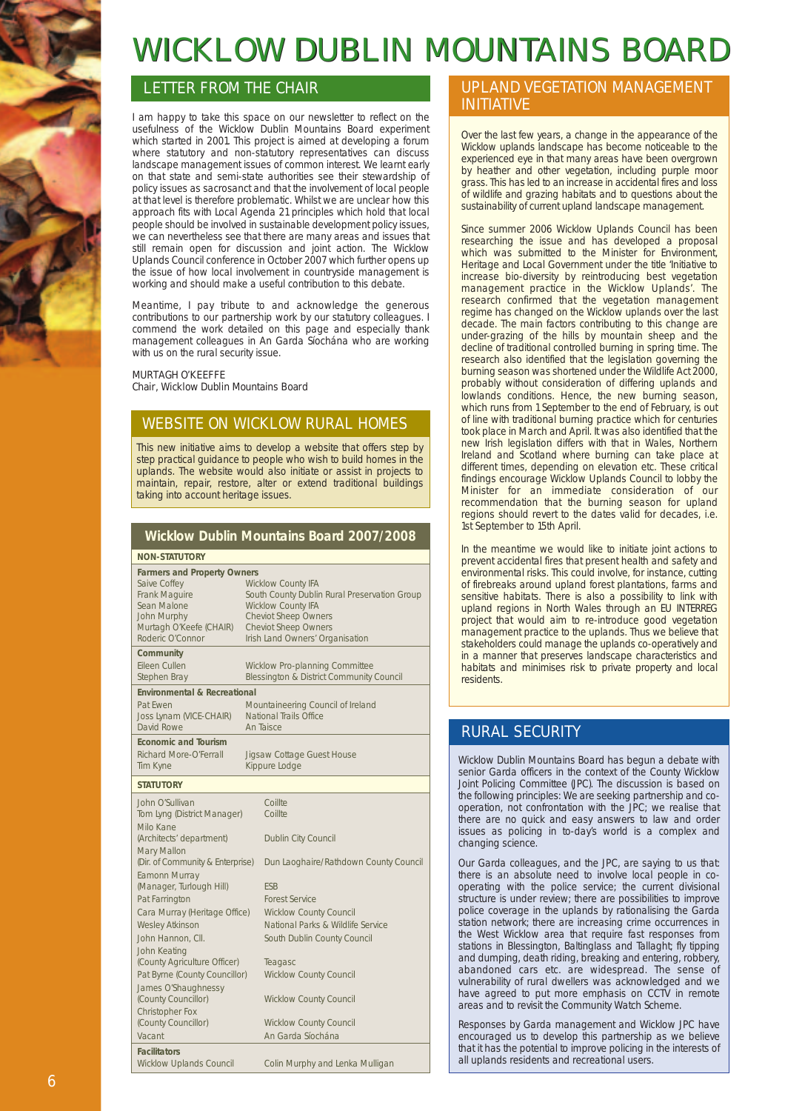# WICKLOW DUBLIN MOUNTAINS BOARD

# LETTER FROM THE CHAIR

I am happy to take this space on our newsletter to reflect on the usefulness of the Wicklow Dublin Mountains Board experiment which started in 2001. This project is aimed at developing a forum where statutory and non-statutory representatives can discuss landscape management issues of common interest. We learnt early on that state and semi-state authorities see their stewardship of policy issues as sacrosanct and that the involvement of local people at that level is therefore problematic. Whilst we are unclear how this approach fits with Local Agenda 21 principles which hold that local people should be involved in sustainable development policy issues, we can nevertheless see that there are many areas and issues that still remain open for discussion and joint action. The Wicklow Uplands Council conference in October 2007 which further opens up the issue of how local involvement in countryside management is working and should make a useful contribution to this debate.

Meantime, I pay tribute to and acknowledge the generous contributions to our partnership work by our statutory colleagues. I commend the work detailed on this page and especially thank management colleagues in An Garda Síochána who are working with us on the rural security issue.

#### MURTAGH O'KEEFFE Chair, Wicklow Dublin Mountains Board

# WEBSITE ON WICKLOW RURAL HOMES

This new initiative aims to develop a website that offers step by step practical guidance to people who wish to build homes in the uplands. The website would also initiate or assist in projects to maintain, repair, restore, alter or extend traditional buildings taking into account heritage issues.

**Wicklow Dublin Mountains Board 2007/2008**

|                                                                                                                                                         | <b>THE POST OF A SET OF A SET OF A SET OF A SET OF A SET OF A SET OF A SET OF A SET OF A SET OF A SET O</b>                                                                                             |  |
|---------------------------------------------------------------------------------------------------------------------------------------------------------|---------------------------------------------------------------------------------------------------------------------------------------------------------------------------------------------------------|--|
| <b>NON-STATUTORY</b>                                                                                                                                    |                                                                                                                                                                                                         |  |
| <b>Farmers and Property Owners</b><br>Saive Coffey<br>Frank Maguire<br>Sean Malone<br><b>John Murphy</b><br>Murtagh O'Keefe (CHAIR)<br>Roderic O'Connor | <b>Wicklow County IFA</b><br>South County Dublin Rural Preservation Group<br><b>Wicklow County IFA</b><br><b>Cheviot Sheep Owners</b><br><b>Cheviot Sheep Owners</b><br>Irish Land Owners' Organisation |  |
| Community<br>Eileen Cullen<br>Stephen Bray                                                                                                              | Wicklow Pro-planning Committee<br>Blessington & District Community Council                                                                                                                              |  |
| <b>Environmental &amp; Recreational</b>                                                                                                                 |                                                                                                                                                                                                         |  |
| Pat Fwen<br>Joss Lynam (VICE-CHAIR)<br>David Rowe                                                                                                       | Mountaineering Council of Ireland<br>National Trails Office<br>An Taisce                                                                                                                                |  |
| <b>Economic and Tourism</b><br><b>Richard More-O'Ferrall</b><br>Tim Kyne                                                                                | Jigsaw Cottage Guest House<br>Kippure Lodge                                                                                                                                                             |  |
| <b>STATUTORY</b>                                                                                                                                        |                                                                                                                                                                                                         |  |
| John O'Sullivan<br>Tom Lyng (District Manager)<br>Milo Kane<br>(Architects' department)                                                                 | Coillte<br>Coillte<br>Dublin City Council                                                                                                                                                               |  |
| Mary Mallon<br>(Dir. of Community & Enterprise)<br>Eamonn Murray<br>(Manager, Turlough Hill)                                                            | Dun Laoghaire/Rathdown County Council<br><b>FSB</b>                                                                                                                                                     |  |
| Pat Farrington                                                                                                                                          | <b>Forest Service</b>                                                                                                                                                                                   |  |
| Cara Murray (Heritage Office)<br><b>Wesley Atkinson</b><br>John Hannon, Cll.                                                                            | <b>Wicklow County Council</b><br>National Parks & Wildlife Service<br>South Dublin County Council                                                                                                       |  |
| John Keating<br>(County Agriculture Officer)<br>Pat Byrne (County Councillor)                                                                           | Teagasc<br><b>Wicklow County Council</b>                                                                                                                                                                |  |
| James O'Shaughnessy<br>(County Councillor)<br>Christopher Fox                                                                                           | <b>Wicklow County Council</b>                                                                                                                                                                           |  |
| (County Councillor)<br>Vacant                                                                                                                           | <b>Wicklow County Council</b><br>An Garda Síochána                                                                                                                                                      |  |
| <b>Facilitators</b><br><b>Wicklow Uplands Council</b>                                                                                                   | Colin Murphy and Lenka Mulligan                                                                                                                                                                         |  |

## UPLAND VEGETATION MANAGEMENT INITIATIVE

Over the last few years, a change in the appearance of the Wicklow uplands landscape has become noticeable to the experienced eye in that many areas have been overgrown by heather and other vegetation, including purple moor grass. This has led to an increase in accidental fires and loss of wildlife and grazing habitats and to questions about the sustainability of current upland landscape management.

Since summer 2006 Wicklow Uplands Council has been researching the issue and has developed a proposal which was submitted to the Minister for Environment, Heritage and Local Government under the title 'Initiative to increase bio-diversity by reintroducing best vegetation management practice in the Wicklow Uplands'. The research confirmed that the vegetation management regime has changed on the Wicklow uplands over the last decade. The main factors contributing to this change are under-grazing of the hills by mountain sheep and the decline of traditional controlled burning in spring time. The research also identified that the legislation governing the burning season was shortened under the Wildlife Act 2000, probably without consideration of differing uplands and lowlands conditions. Hence, the new burning season, which runs from 1 September to the end of February, is out of line with traditional burning practice which for centuries took place in March and April. It was also identified that the new Irish legislation differs with that in Wales, Northern Ireland and Scotland where burning can take place at different times, depending on elevation etc. These critical findings encourage Wicklow Uplands Council to lobby the Minister for an immediate consideration of our recommendation that the burning season for upland regions should revert to the dates valid for decades, i.e. 1st September to 15th April.

In the meantime we would like to initiate joint actions to prevent accidental fires that present health and safety and environmental risks. This could involve, for instance, cutting of firebreaks around upland forest plantations, farms and sensitive habitats. There is also a possibility to link with upland regions in North Wales through an EU INTERREG project that would aim to re-introduce good vegetation management practice to the uplands. Thus we believe that stakeholders could manage the uplands co-operatively and in a manner that preserves landscape characteristics and habitats and minimises risk to private property and local residents.

# RURAL SECURITY

Wicklow Dublin Mountains Board has begun a debate with senior Garda officers in the context of the County Wicklow Joint Policing Committee (JPC). The discussion is based on the following principles: We are seeking partnership and cooperation, not confrontation with the JPC; we realise that there are no quick and easy answers to law and order issues as policing in to-day's world is a complex and changing science.

Our Garda colleagues, and the JPC, are saying to us that: there is an absolute need to involve local people in cooperating with the police service; the current divisional structure is under review; there are possibilities to improve police coverage in the uplands by rationalising the Garda station network; there are increasing crime occurrences in the West Wicklow area that require fast responses from stations in Blessington, Baltinglass and Tallaght; fly tipping and dumping, death riding, breaking and entering, robbery, abandoned cars etc. are widespread. The sense of vulnerability of rural dwellers was acknowledged and we have agreed to put more emphasis on CCTV in remote areas and to revisit the Community Watch Scheme.

Responses by Garda management and Wicklow JPC have encouraged us to develop this partnership as we believe that it has the potential to improve policing in the interests of all uplands residents and recreational users.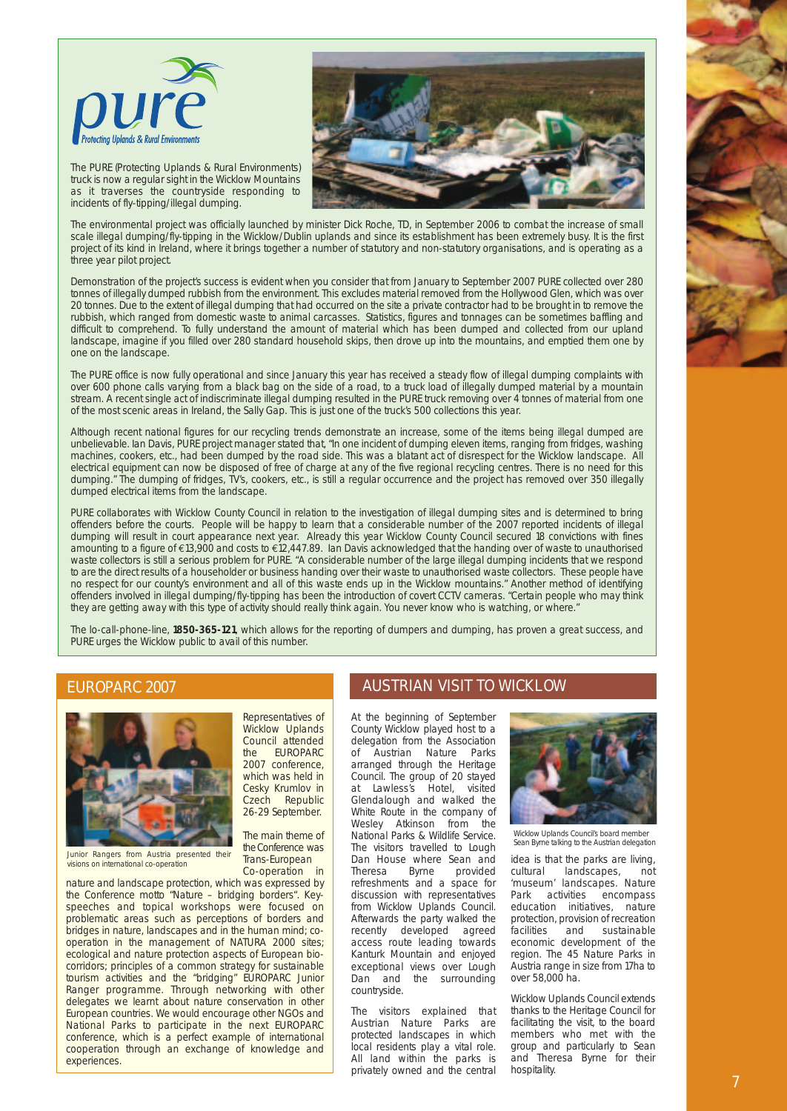

The PURE (Protecting Uplands & Rural Environments) truck is now a regular sight in the Wicklow Mountains as it traverses the countryside responding to incidents of fly-tipping/illegal dumping.



The environmental project was officially launched by minister Dick Roche, TD, in September 2006 to combat the increase of small scale illegal dumping/fly-tipping in the Wicklow/Dublin uplands and since its establishment has been extremely busy. It is the first project of its kind in Ireland, where it brings together a number of statutory and non-statutory organisations, and is operating as a three year pilot project.

Demonstration of the project's success is evident when you consider that from January to September 2007 PURE collected over 280 tonnes of illegally dumped rubbish from the environment. This excludes material removed from the Hollywood Glen, which was over 20 tonnes. Due to the extent of illegal dumping that had occurred on the site a private contractor had to be brought in to remove the rubbish, which ranged from domestic waste to animal carcasses. Statistics, figures and tonnages can be sometimes baffling and difficult to comprehend. To fully understand the amount of material which has been dumped and collected from our upland landscape, imagine if you filled over 280 standard household skips, then drove up into the mountains, and emptied them one by one on the landscape.

The PURE office is now fully operational and since January this year has received a steady flow of illegal dumping complaints with over 600 phone calls varying from a black bag on the side of a road, to a truck load of illegally dumped material by a mountain stream. A recent single act of indiscriminate illegal dumping resulted in the PURE truck removing over 4 tonnes of material from one of the most scenic areas in Ireland, the Sally Gap. This is just one of the truck's 500 collections this year.

Although recent national figures for our recycling trends demonstrate an increase, some of the items being illegal dumped are unbelievable. Ian Davis, PURE project manager stated that, "In one incident of dumping eleven items, ranging from fridges, washing machines, cookers, etc., had been dumped by the road side. This was a blatant act of disrespect for the Wicklow landscape. All electrical equipment can now be disposed of free of charge at any of the five regional recycling centres. There is no need for this dumping." The dumping of fridges, TV's, cookers, etc., is still a regular occurrence and the project has removed over 350 illegally dumped electrical items from the landscape.

PURE collaborates with Wicklow County Council in relation to the investigation of illegal dumping sites and is determined to bring offenders before the courts. People will be happy to learn that a considerable number of the 2007 reported incidents of illegal dumping will result in court appearance next year. Already this year Wicklow County Council secured 18 convictions with fines amounting to a figure of €13,900 and costs to €12,447.89. Ian Davis acknowledged that the handing over of waste to unauthorised waste collectors is still a serious problem for PURE. "A considerable number of the large illegal dumping incidents that we respond to are the direct results of a householder or business handing over their waste to unauthorised waste collectors. These people have no respect for our county's environment and all of this waste ends up in the Wicklow mountains." Another method of identifying offenders involved in illegal dumping/fly-tipping has been the introduction of covert CCTV cameras. "Certain people who may think they are getting away with this type of activity should really think again. You never know who is watching, or where."

The lo-call-phone-line, **1850-365-121**, which allows for the reporting of dumpers and dumping, has proven a great success, and PURE urges the Wicklow public to avail of this number.

#### EUROPARC 2007



Junior Rangers from Austria presented their visions on international co-operation

2007 conference, which was held in Cesky Krumlov in Czech Republic 26-29 September. The main theme of

Representatives of Wicklow Uplands Council attended the EUROPARC

the Conference was Trans-European Co-operation in

nature and landscape protection, which was expressed by the Conference motto "Nature – bridging borders". Keyspeeches and topical workshops were focused on problematic areas such as perceptions of borders and bridges in nature, landscapes and in the human mind; cooperation in the management of NATURA 2000 sites; ecological and nature protection aspects of European biocorridors; principles of a common strategy for sustainable tourism activities and the "bridging" EUROPARC Junior Ranger programme. Through networking with other delegates we learnt about nature conservation in other European countries. We would encourage other NGOs and National Parks to participate in the next EUROPARC conference, which is a perfect example of international cooperation through an exchange of knowledge and experiences.

# AUSTRIAN VISIT TO WICKLOW

At the beginning of September County Wicklow played host to a delegation from the Association of Austrian Nature Parks arranged through the Heritage Council. The group of 20 stayed at Lawless's Hotel, visited Glendalough and walked the White Route in the company of Wesley Atkinson from the National Parks & Wildlife Service. The visitors travelled to Lough Dan House where Sean and<br>Theresa Byrne provided Byrne provided refreshments and a space for discussion with representatives from Wicklow Uplands Council. Afterwards the party walked the recently developed agreed access route leading towards Kanturk Mountain and enjoyed exceptional views over Lough Dan and the surrounding countryside.

The visitors explained that Austrian Nature Parks are protected landscapes in which local residents play a vital role. All land within the parks is privately owned and the central



Wicklow Uplands Council's board member Sean Byrne talking to the Austrian delegation

idea is that the parks are living, cultural landscapes, not 'museum' landscapes. Nature Park activities encompass education initiatives, nature protection, provision of recreation facilities and sustainable economic development of the region. The 45 Nature Parks in Austria range in size from 17ha to over 58,000 ha.

Wicklow Uplands Council extends thanks to the Heritage Council for facilitating the visit, to the board members who met with the group and particularly to Sean and Theresa Byrne for their hospitality.